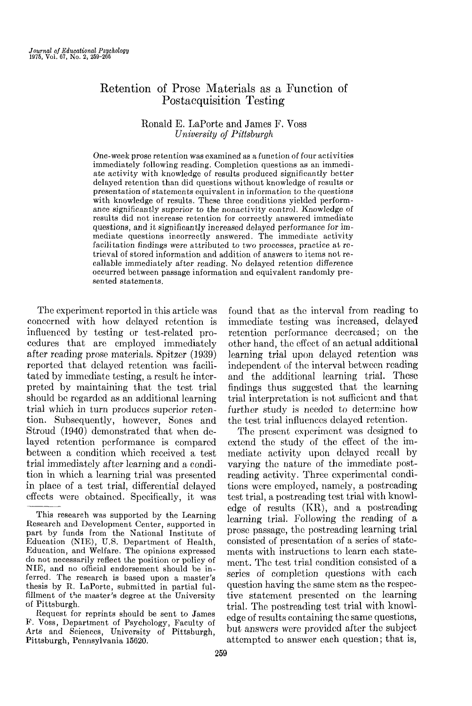# Retention of Prose Materials as a Function of Postacquisition Testing

## Ronald E. LaPorte and James F. Voss *University of Pittsburgh*

One-week prose retention was examined as a function of four activities immediately following reading. Completion questions as an immediate activity with knowledge of results produced significantly better delayed retention than did questions without knowledge of results or presentation of statements equivalent in information to the questions with knowledge of results. These three conditions vielded performance significantly superior to the nonactivity control. Knowledge of results did not increase retention for correctly answered immediate questions, and it significantly increased delayed performance for immediate questions incorrectly answered. The immediate activity facilitation findings were attributed to two processes, practice at retrieval of stored information and addition of answers to items not recallable immediately after reading. No delayed retention difference occurred between passage information and equivalent randomly presented statements.

The experiment reported in this article was found that as the interval from reading to concerned with how delayed retention is influenced by testing or test-related procedures that are employed immediately after reading prose materials. Spitzer (1939) reported that delayed retention was facilitated by immediate testing, a result he interpreted by maintaining that the test trial should be regarded as an additional learning trial which in turn produces superior retention. Subsequently, however, Sones and Stroud (1940) demonstrated that when delayed retention performance is compared between a condition which received a test trial immediately after learning and a condition in which a learning trial was presented in place of a test trial, differential delayed effects were obtained. Specifically, it was

immediate testing was increased, delayed retention performance decreased; on the other hand, the effect of an actual additional learning trial upon delayed retention was independent of the interval between reading and the additional learning trial. These findings thus suggested that the learning trial interpretation is not sufficient and that further study is needed to determine how the test trial influences delayed retention.

The present experiment was designed to extend the study of the effect of the immediate activity upon delayed recall by varying the nature of the immediate postreading activity. Three experimental conditions were employed, namely, a postreading test trial, a postreading test trial with knowledge of results (KR), and a postreading learning trial. Following the reading of a prose passage, the postreading learning trial consisted of presentation of a series of statements with instructions to learn each statement. The test trial condition consisted of a series of completion questions with each question having the same stem as the respective statement presented on the learning trial. The postreading test trial with knowledge of results containing the same questions, but answers were provided after the subject attempted to answer each question; that is,

This research was supported by the Learning Research and Development Center, supported in part by funds from the National Institute of Education (NIE), U.S. Department of Health, Education, and Welfare. The opinions expressed do not necessarily reflect the position or policy of NIE, and no official endorsement should be inferred. The research is based upon a master's thesis by R. LaPorte, submitted in partial fulfillment of the master's degree at the University of Pittsburgh.

Request for reprints should be sent to James P. Voss, Department of Psychology, Faculty of Arts and Sciences, University of Pittsburgh, Pittsburgh, Pennsylvania 15620.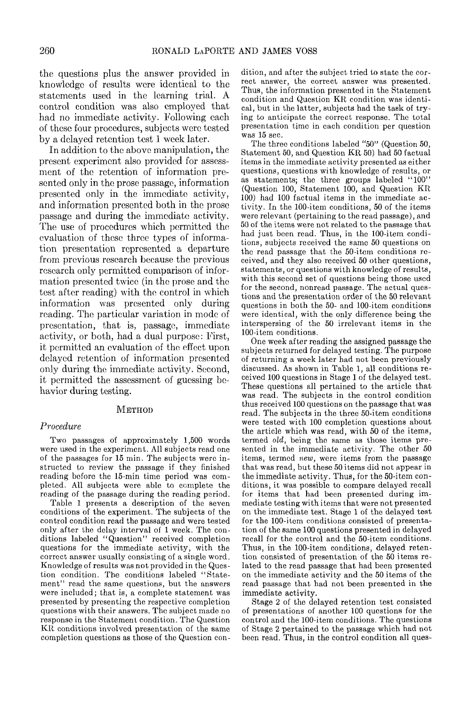the questions plus the answer provided in knowledge of results were identical to the statements used in the learning trial. A control condition was also employed that had no immediate activity. Following each of these four procedures, subjects were tested by a delayed retention test 1 week later.

In addition to the above manipulation, the present experiment also provided for assessment of the retention of information presented only in the prose passage, information presented only in the immediate activity, and information presented both in the prose passage and during the immediate activity. The use of procedures which permitted the evaluation of these three types of information presentation represented a departure from previous research because the previous research only permitted comparison of information presented twice (in the prose and the test after reading) with the control in which information was presented only during reading. The particular variation in mode of presentation, that is, passage, immediate activity, or both, had a dual purpose: First, it permitted an evaluation of the effect upon delayed retention of information presented only during the immediate activity. Second, it permitted the assessment of guessing behavior during testing.

#### **METHOD**

#### *Procedure*

Two passages of approximately 1,500 words were used in the experiment. All subjects read one of the passages for 15 min. The subjects were instructed to review the passage if they finished reading before the 15-min time period was completed. All subjects were able to complete the reading of the passage during the reading period.

Table 1 presents a description of the seven conditions of the experiment. The subjects of the control condition read the passage and were tested only after the delay interval of 1 week. The conditions labeled "Question" received completion questions for the immediate activity, with the correct answer usually consisting of a single word. Knowledge of results was not provided in the Question condition. The conditions labeled "Statement" read the same questions, but the answers were included; that is, a complete statement was presented by presenting the respective completion questions with their answers. The subject made no response in the Statement condition. The Question KR conditions involved presentation of the same completion questions as those of the Question condition, and after the subject tried to state the correct answer, the correct answer was presented. Thus, the information presented in the Statement condition and Question KR condition was identical, but in the latter, subjects had the task of trying to anticipate the correct response. The total presentation time in each condition per question was 15 sec.

The three conditions labeled "50" (Question 50, Statement 50, and Question KR 50) had 50 factual items in the immediate activity presented as either questions, questions with knowledge of results, or as statements; the three groups labeled "100" (Question 100, Statement 100, and Question KR 100) had 100 factual items in the immediate activity. In the 100-item conditions, 50 of the items were relevant (pertaining to the read passage), and 50 of the items were not related to the passage that had just been read. Thus, in the 100-item conditions, subjects received the same 50 questions on the read passage that the 50-item conditions received, and they also received 50 other questions, statements, or questions with knowledge of results, with this second set of questions being those used for the second, nonread passage. The actual questions and the presentation order of the 50 relevant questions in both the 50- and 100-item conditions were identical, with the only difference being the interspersing of the 50 irrelevant items in the 100-item conditions.

One week after reading the assigned passage the subjects returned for delayed testing. The purpose of returning a week later had not been previously discussed. As shown in Table 1, all conditions received 100 questions in Stage 1 of the delayed test. These questions all pertained to the article that was read. The subjects in the control condition thus received 100 questions on the passage that was read. The subjects in the three 50-item conditions were tested with 100 completion questions about the article which was read, with 50 of the items, termed *old,* being the same as those items presented in the immediate activity. The other 50 items, termed *new,* were items from the passage that was read, but these 50 items did not appear in the immediate activity. Thus, for the 50-item conditions, it was possible to compare delayed recall for items that had been presented during immediate testing with items that were not presented on the immediate test. Stage 1 of the delayed test for the 100-item conditions consisted of presentation of the same 100 questions presented in delayed recall for the control and the 50-item conditions. Thus, in the 100-item conditions, delayed retention consisted of presentation of the 50 items related to the read passage that had been presented on the immediate activity and the 50 items of the read passage that had not been presented in the immediate activity.

Stage 2 of the delayed retention test consisted of presentations of another 100 questions for the control and the 100-item conditions. The questions of Stage 2 pertained to the passage which had not been read. Thus, in the control condition all ques-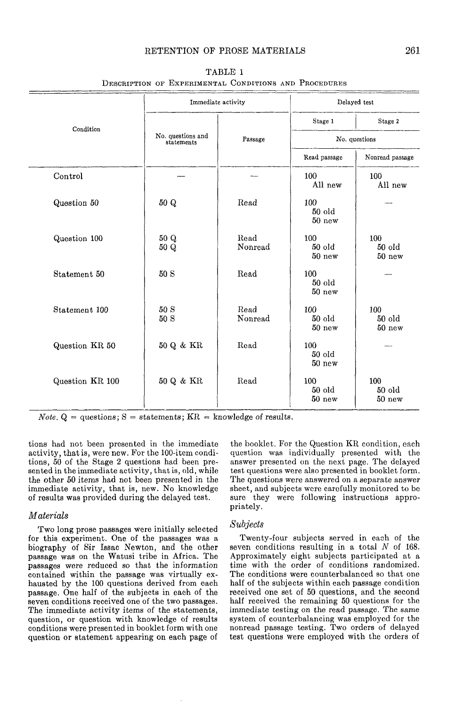### RETENTION OF PROSE MATERIALS 261

|                 | Immediate activity              |                 | Delayed test                |                             |  |
|-----------------|---------------------------------|-----------------|-----------------------------|-----------------------------|--|
| Condition       |                                 |                 | Stage 1                     | Stage 2                     |  |
|                 | No. questions and<br>statements | Passage         | No. questions               |                             |  |
|                 |                                 |                 | Read passage                | Nonread passage             |  |
| Control         |                                 |                 | 100<br>All new              | 100<br>All new              |  |
| Question 50     | 50 Q                            | Read            | 100<br>$50$ old<br>$50$ new |                             |  |
| Question 100    | 50 Q<br>50 Q                    | Read<br>Nonread | 100<br>$50$ old<br>50 new   | 100<br>$50$ old<br>50 new   |  |
| Statement 50    | 50S                             | Read            | 100<br>$50$ old<br>$50$ new |                             |  |
| Statement 100   | 50 S<br>50 S                    | Read<br>Nonread | 100<br>$50$ old<br>$50$ new | 100<br>$50$ old<br>50 new   |  |
| Question KR 50  | 50 Q & KR                       | Read            | 100<br>$50$ old<br>50 new   |                             |  |
| Question KR 100 | $50$ Q & KR                     | Read            | 100<br>50 old<br>$50$ new   | 100<br>$50$ old<br>$50$ new |  |

TABLE 1 DESCRIPTION or EXPERIMENTAL CONDITIONS AND PROCEDURES

*Note.*  $Q = \text{questions}$ ;  $S = \text{statements}$ ;  $KR = \text{knowledge of results.}$ 

tions had not been presented in the immediate activity, that is, were new. For the 100-item conditions, 50 of the Stage 2 questions had been presented in the immediate activity, that is, old, while the other 50 items had not been presented in the immediate activity, that is, new. No knowledge of results was provided during the delayed test.

#### *Materials*

Two long prose passages were initially selected for this experiment. One of the passages was a biography of Sir Issac Newton, and the other passage was on the Watusi tribe in Africa. The passages were reduced so that the information contained within the passage was virtually exhausted by the 100 questions derived from each passage. One half of the subjects in each of the seven conditions received one of the two passages. The immediate activity items of the statements, question, or question with knowledge of results conditions were presented in booklet form with one question or statement appearing on each page of the booklet. For the Question KR condition, each question was individually presented with the answer presented on the next page. The delayed test questions were also presented in booklet form. The questions were answered on a separate answer sheet, and subjects were carefully monitored to be sure they were following instructions appropriately.

#### *Subjects*

Twenty-four subjects served in each of the seven conditions resulting in a total *N* of 168. Approximately eight subjects participated at a time with the order of conditions randomized. The conditions were counterbalanced so that one half of the subjects within each passage condition received one set of 50 questions, and the second half received the remaining 50 questions for the immediate testing on the read passage. The same system of counterbalancing was employed for the nonread passage testing. Two orders of delayed test questions were employed with the orders of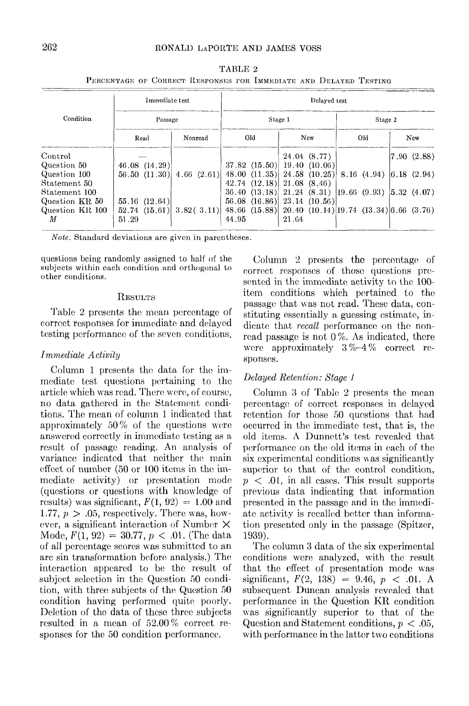| Immediate test  |                                   |  | Delayed test |            |         |                                                                      |       |              |  |                                           |  |              |
|-----------------|-----------------------------------|--|--------------|------------|---------|----------------------------------------------------------------------|-------|--------------|--|-------------------------------------------|--|--------------|
| Condition       | Passage                           |  |              |            | Stage 1 |                                                                      |       | Stage 2      |  |                                           |  |              |
|                 | Read                              |  |              | Nonread    |         | Old                                                                  |       | New          |  | Old                                       |  | New          |
| Control         |                                   |  |              |            |         |                                                                      |       | 24.04(8.77)  |  |                                           |  | (7.90)(2.88) |
| Question 50     | $46.08$ $(14.29)$                 |  |              |            |         | $37.82$ $(15.50)$ 19.40 $(10.06)$                                    |       |              |  |                                           |  |              |
| Question 100    | 56.50 (11.30)                     |  |              | 4.66(2.61) |         | $(48.00 \ (11.35) \ 24.58 \ (10.25) \ 8.16 \ (4.94) \ 6.18 \ (2.94)$ |       |              |  |                                           |  |              |
| Statement 50    |                                   |  |              |            |         | $(42.74 \ (12.18) \ 21.08 \ (8.46))$                                 |       |              |  |                                           |  |              |
| Statement 100   |                                   |  |              |            |         | 36.40(13.18)                                                         |       |              |  | $21.24$ (8.31) [19.66 (9.93) [5.32 (4.07) |  |              |
| Question KR 50  | $55.16$ $(12.64)$                 |  |              |            |         | $56.08$ $(16.86)$                                                    |       | 23.14(10.56) |  |                                           |  |              |
| Question KR 100 | $52.74$ $(15.61)$ $3.82$ $(3.11)$ |  |              |            |         | $48.66$ $(15.88)$                                                    |       |              |  | 20.40(10.14)[19.74(13.34)]6.66(3.76)      |  |              |
| М               | 51.29                             |  |              |            | 44.95   |                                                                      | 21.64 |              |  |                                           |  |              |

TABLE 2 PERCENTAGE OF CORRECT RESPONSES FOR IMMEDIATE AND DELAYED TESTING

*Note.* Standard deviations are given in parentheses.

questions being randomly assigned to half of the subjects within each condition and orthogonal to other conditions.

#### RESULTS

Table 2 presents the mean percentage of correct responses for immediate and delayed testing performance of the seven conditions.

## *Immediate Activity*

Column 1 presents the data for the immediate test questions pertaining to the article which was read. There were, of course, no data gathered in the Statement conditions. The mean of column 1 indicated that approximately 50% of the questions were answered correctly in immediate testing as a result of passage reading. An analysis of variance indicated that neither the main effect of number (50 or 100 items in the immediate activity) or presentation mode (questions or questions with knowledge of results) was significant,  $F(1, 92) = 1.00$  and 1.77,  $p > .05$ , respectively. There was, however, a significant interaction of Number X Mode, *F(l,* 92) = 30.77, *p <* .01. (The data of all percentage scores was submitted to an arc sin transformation before analysis.) The; interaction appeared to be the result of subject selection in the Question 50 condition, with three subjects of the Question 50 condition having performed quite poorly. Deletion of the data of these three subjects resulted in a mean of 52.00 % correct responses for the 50 condition performance.

Column 2 presents the percentage of correct responses of those questions presented in the immediate activity to the 100 item conditions which pertained to the passage that was not read. These data, constituting essentially a guessing estimate, indicate that *recall* performance on the nonread passage is not  $0\%$ . As indicated, there were approximately  $3\% - 4\%$  correct responses.

## *Delayed Retention: Stage i*

Column 3 of Table 2 presents the mean percentage of correct responses in delayed retention for those 50 questions that had occurred in the immediate test, that is, the old items. A Dunnett's test revealed that performance on the old items in each of the six experimental conditions was significantly superior to that of the control condition, *p <* .01, in all cases. This result supports previous data indicating that information presented in the passage and in the immediate activity is recalled better than information presented only in the passage (Spitzer, 1939).

The column 3 data of the six experimental conditions were analyzed, with the result that the effect of presentation mode was significant, *F(2,* 138) = 9.46, *p <* .01. A subsequent Duncan analysis revealed that performance in the Question KR condition, was significantly superior to that of the Question and Statement conditions, *p* < .05, with performance in the latter two conditions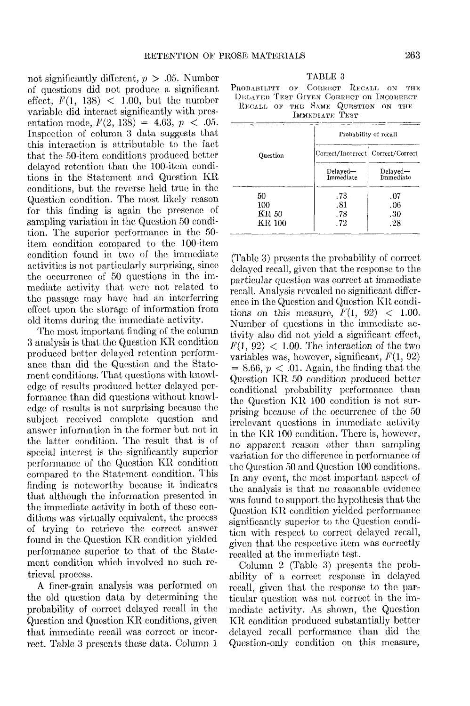not significantly different, *p >* .05. Number of questions did not produce a significant effect,  $F(1, 138)$  < 1.00, but the number variable did interact significantly with presentation mode,  $F(2, 138) = 4.63, p < .05$ . Inspection of column 3 data suggests that this interaction is attributable to the fact that the 50-item conditions produced better delayed retention than the 100-item conditions in the Statement and Question KR conditions, but the reverse held true in the Question condition. The most likely reason for this finding is again the presence of sampling variation in the Question 50 condition. The superior performance in the 50 item condition compared to the 100-item condition found in two of the immediate activities is not particularly surprising, since the occurrence of 50 questions in the immediate activity that were not related to the passage may have had an interferring effect upon the storage of information from old items during the immediate activity.

The most important finding of the column 3 analysis is that the Question KR condition produced better delayed retention performance than did the Question and the Statement conditions. That questions with knowledge of results produced better delayed performance than did questions without knowledge of results is not surprising because the subject received complete question and answer information in the former but not in the latter condition. The result that is of special interest is the significantly superior performance of the Question KR condition compared to the Statement condition. This finding is noteworthy because it indicates that although the information presented in the immediate activity in both of these conditions was virtually equivalent, the process of trying to retrieve the correct answer found in the Question KR condition yielded performance superior to that of the Statement condition which involved no such retrieval process.

A finer-grain analysis was performed on the old question data by determining the probability of correct delayed recall in the Question and Question KR conditions, given that immediate recall was correct or incorrect. Table 3 presents these data. Column 1

| TABLE 3 |  |
|---------|--|
|---------|--|

PROBABILITY OF CORRECT RECALL ON THE DELAYED TEST GIVEN CORRECT OR INCORRECT RECALL OF THE SAME QUESTION ON THE IMMEDIATE TEST

|                              | Probability of recall              |                          |  |  |
|------------------------------|------------------------------------|--------------------------|--|--|
| Ouestion                     | Correct/Incorrect  Correct/Correct |                          |  |  |
|                              | Delayed-<br>Immediate              | $Delayed -$<br>Immediate |  |  |
| 50<br>100<br>KR 50<br>KR 100 | .73<br>.81<br>.78<br>.72           | .07<br>.06<br>.30<br>.28 |  |  |

(Table 3) presents the probability of correct delayed recall, given that the response to the particular question was correct at immediate recall. Analysis revealed no significant difference in the Question and Question KR conditions on this measure,  $F(1, 92) < 1.00$ . Number of questions in the immediate activity also did not yield a significant effect,  $F(1, 92)$  < 1.00. The interaction of the two variables was, however, significant,  $F(1, 92)$  $= 8.66, p < .01$ . Again, the finding that the Question KR 50 condition produced better conditional probability performance than the Question KR 100 condition is not surprising because of the occurrence of the 50 irrelevant questions in immediate activity in the KR 100 condition. There is, however, no apparent reason other than sampling variation for the difference in performance of the Question 50 and Question 100 conditions. In any event, the most important aspect of the analysis is that no reasonable evidence was found to support the hypothesis that the Question KR condition yielded performance significantly superior to the Question condition with respect to correct delayed recall, given that the respective item was correctly recalled at the immediate test.

Column 2 (Table 3) presents the probability of a correct response in delayed recall, given that the response to the particular question was not correct in the immediate activity. As shown, the Question KR condition produced substantially better delayed recall performance than did the Question-only condition on this measure,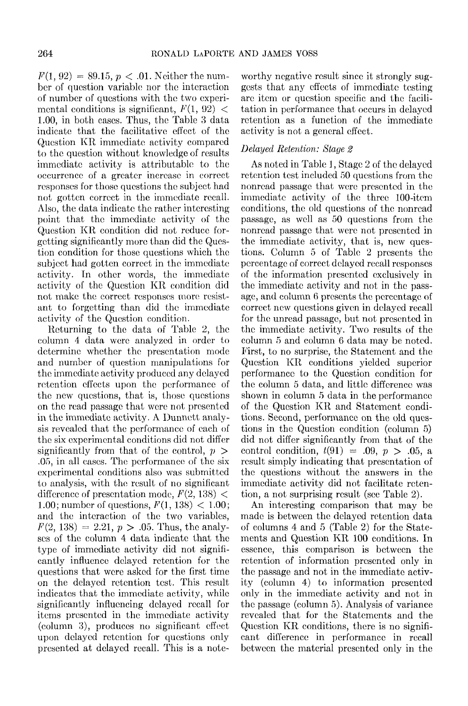$F(1, 92) = 89.15, p < .01$ . Neither the number of question variable; nor the interaction of number of questions with the two experimental conditions is significant,  $F(1, 92)$  < 1.00, in both cases. Thus, the Table 3 data indicate that the facilitative effect of the Question KR immediate activity compared to the question without knowledge of results immediate activity is attributable to the occurrence of a greater increase in correct responses for those questions the subject had not gotten correct in the immediate recall. Also, the data indicate the rather interesting point that the immediate activity of the Question KR condition did not reduce forgetting significantly more than did the Question condition for those questions which the subject had gotten correct in the immediate activity. In other words, the immediate activity of the Question KR condition did not make the correct responses more resistant to forgetting than did the immediate activity of the Question condition.

Returning to the data of Table 2, the column 4 data were analyzed in order to determine whether the presentation mode and number of question manipulations for the immediate activity produced any delayed retention effects upon the performance of the new questions, that is, those questions on the read passage that were not presented in the immediate activity. A Dunnett analysis revealed that the performance of each of the six experimental conditions did not differ significantly from that of the control, *p >* .05, in all cases. The performance of the six experimental conditions also was submitted to analysis, with the result of no significant difference of presentation mode,  $F(2, 138)$  < 1.00; number of questions,  $F(1, 138) < 1.00$ ; and the interaction of the two variables,  $F(2, 138) = 2.21, p > .05$ . Thus, the analyses of the column 4 data indicate that the type of immediate activity did not significantly influence delayed retention for the questions that were asked for the first time on the delayed retention test. This result indicates that the immediate activity, while significantly influencing delayed recall for items presented in the immediate activity (column 3), produces no significant effect upon delayed retention for questions only presented at delayed recall. This is a note-

worthy negative result since it strongly suggests that any effects of immediate testing are item or question specific and the facilitation in performance that occurs in delayed retention as a function of the immediate activity is not a general effect.

## *Delayed Retention: Stage 2*

As noted in Table *\,* Stage 2 of the delayed retention test included 50 questions from the nonrcad passage that were presented in the immediate activity of the three 100-item conditions, the old questions of the nonrcad passage, as well as 50 questions from the nonrcad passage that were not presented in the immediate activity, that is, new questions. Column 5 of Table 2 presents the percentage of correct delayed recall responses of the information presented exclusively in the immediate activity and not in the passage, and column 6 presents the percentage of correct new questions given in delayed recall for the unread passage, but not presented in the immediate activity. Two results of the column 5 and column 6 data may be noted. First, to no surprise, the Statement and the Question KR conditions yielded superior performance to the Question condition for the column 5 data, and little difference was shown in column 5 data in the performance of the Question KR and Statement conditions. Second, performance on the old questions in the Question condition (column 5) did not differ significantly from that of the control condition,  $t(91) = .09, p > .05, a$ result simply indicating that presentation of the questions without the answers in the immediate activity did not facilitate retention, a not surprising result (see Table 2).

An interesting comparison that may be made is between the delayed retention data of columns 4 and 5 (Table 2) for the Statements and Question KR 100 conditions. In essence, this comparison is between the retention of information presented only in the passage and not in the immediate activity (column 4) to information presented only in the immediate activity and not in the passage (column 5). Analysis of variance revealed that for the Statements and the Question KR conditions, there is no significant difference in performance in recall between the material presented only in the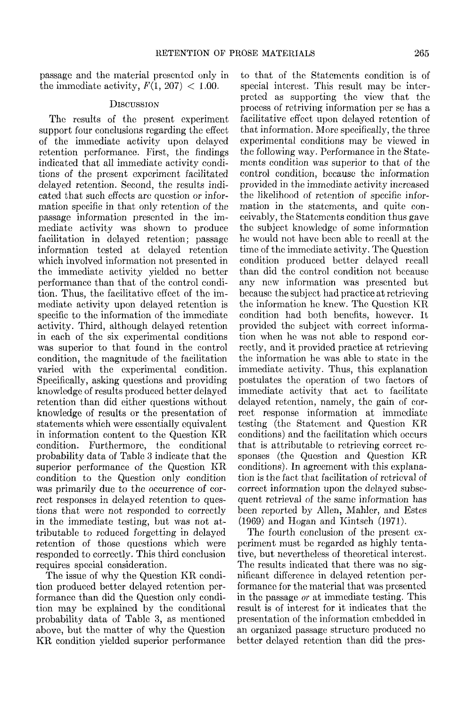passage and the material presented only in the immediate activity,  $F(1, 207) < 1.00$ .

## **DISCUSSION**

The results of the present experiment support four conclusions regarding the effect of the immediate activity upon delayed retention performance. First, the findings indicated that all immediate activity conditions of the present experiment facilitated delayed retention. Second, the results indicated that such effects are question or information specific in that only retention of the passage information presented in the immediate activity was shown to produce facilitation in delayed retention; passage information tested at delayed retention which involved information not presented in the immediate activity yielded no better performance than that of the control condition. Thus, the facilitative effect of the immediate activity upon delayed retention is specific to the information of the immediate activity. Third, although delayed retention in each of the six experimental conditions was superior to that found in the control condition, the magnitude of the facilitation varied with the experimental condition. Specifically, asking questions and providing knowledge of results produced better delayed retention than did either questions without knowledge of results or the presentation of statements which were essentially equivalent in information content to the Question KR condition. Furthermore, the conditional probability data of Table 3 indicate that the superior performance of the Question KR condition to the Question only condition was primarily due to the occurrence of correct responses in delayed retention to questions that were not responded to correctly in the immediate testing, but was not attributable to reduced forgetting in delayed retention of those questions which were responded to correctly. This third conclusion requires special consideration.

The issue of why the Question KR condition produced better delayed retention performance than did the Question only condition may be explained by the conditional probability data of Table 3, as mentioned above, but the matter of why the Question KR condition yielded superior performance

to that of the Statements condition is of special interest. This result may be interpreted as supporting the view that the process of retriving information per so has a facilitative effect upon delayed retention of that information. More specifically, the three experimental conditions may be viewed in the following way. Performance in the Statements condition was superior to that of the control condition, because the information provided in the immediate activity increased the likelihood of retention of specific information in the statements, and quite conceivably, the Statements condition thus gave the subject knowledge of some information he would not have been able to recall at the time of the immediate activity. The Question condition produced better delayed recall than did the control condition not because any new information was presented but because the subject had practice at retrieving the information he knew. The Question KR condition had both benefits, however. It provided the subject with correct information when he was not able to respond correctly, and it provided practice at retrieving the information he was able to state in the immediate activity. Thus, this explanation postulates the operation of two factors of immediate activity that act to facilitate delayed retention, namely, the gain of correct response information at immediate testing (the Statement and Question KR conditions) and the facilitation which occurs that is attributable to retrieving correct responses (the Question and Question KR conditions). In agreement with this explanation is the fact that facilitation of retrieval of correct information upon the delayed subsequent retrieval of the same information has been reported by Allen, Mahler, and Estes (1969) and Hogan and Kintsch (1971).

The fourth conclusion of the present experiment must bo regarded as highly tentative, but nevertheless of theoretical interest. The results indicated that there was no significant difference in delayed retention performance for the material that was presented in the passage *or* at immediate testing. This result is of interest for it indicates that the presentation of the information embedded in an organized passage structure produced no better delayed retention than did the prcs-